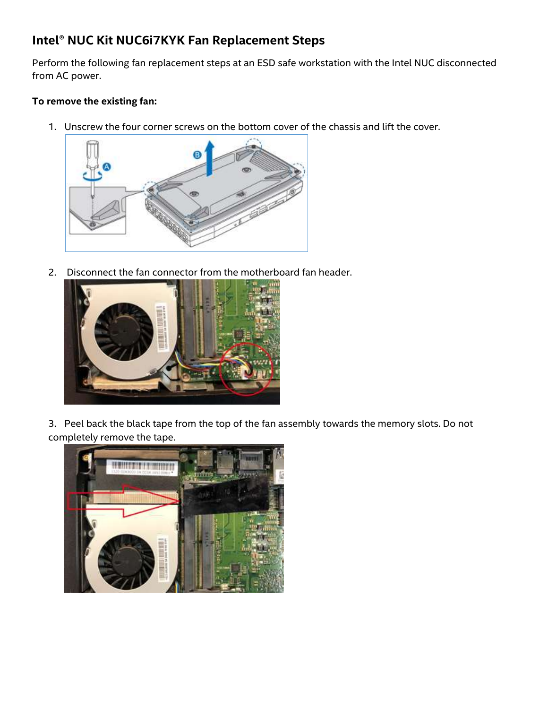## **Intel® NUC Kit NUC6i7KYK Fan Replacement Steps**

Perform the following fan replacement steps at an ESD safe workstation with the Intel NUC disconnected from AC power.

## **To remove the existing fan:**

1. Unscrew the four corner screws on the bottom cover of the chassis and lift the cover.



2. Disconnect the fan connector from the motherboard fan header.



3. Peel back the black tape from the top of the fan assembly towards the memory slots. Do not completely remove the tape.

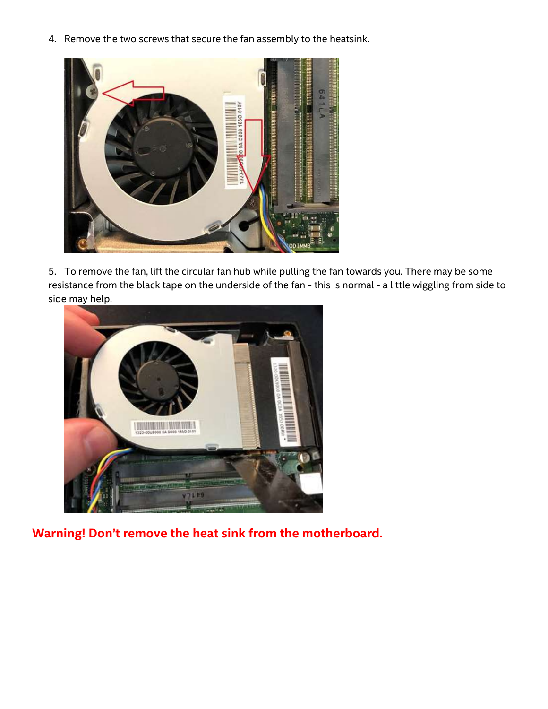4. Remove the two screws that secure the fan assembly to the heatsink.



5. To remove the fan, lift the circular fan hub while pulling the fan towards you. There may be some resistance from the black tape on the underside of the fan - this is normal - a little wiggling from side to side may help.



**Warning! Don't remove the heat sink from the motherboard.**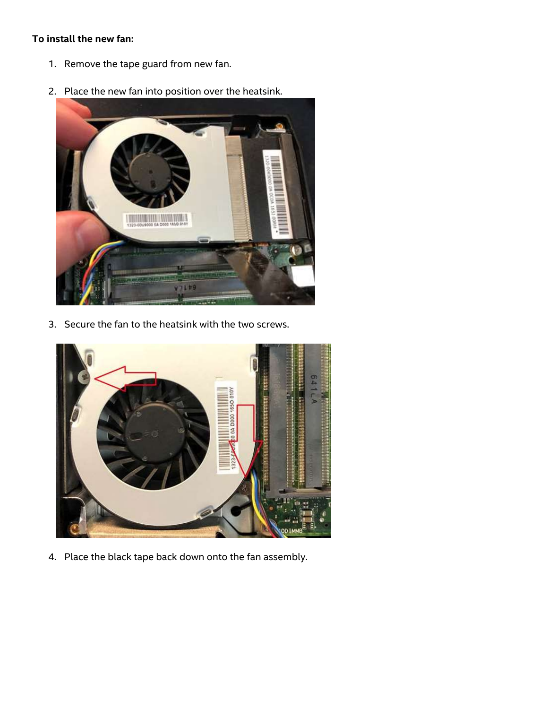## **To install the new fan:**

- 1. Remove the tape guard from new fan.
- 2. Place the new fan into position over the heatsink.



3. Secure the fan to the heatsink with the two screws.



4. Place the black tape back down onto the fan assembly.